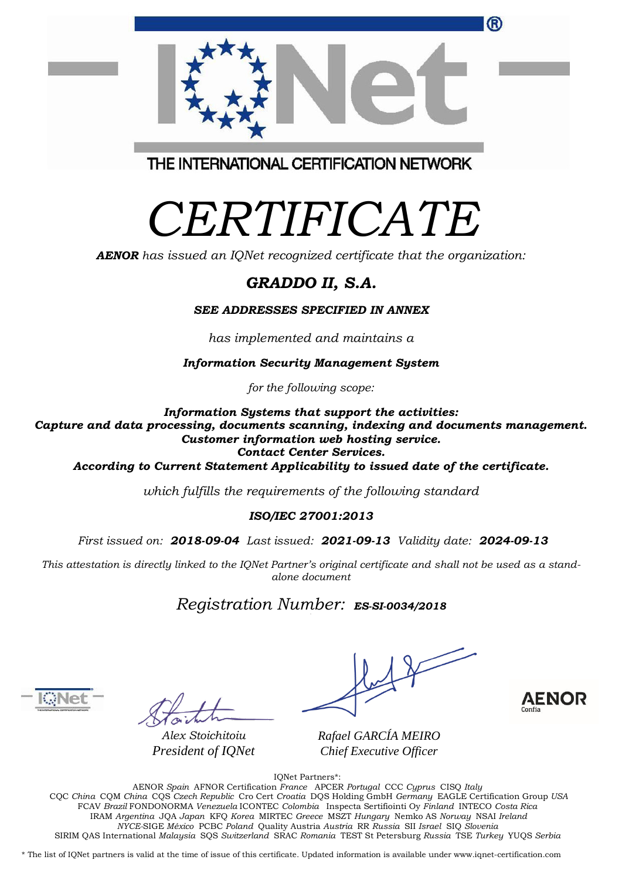| (R)                                     |  |
|-----------------------------------------|--|
| THE INTERNATIONAL CERTIFICATION NETWORK |  |

## *CERTIFICATE*

*AENOR has issued an IQNet recognized certificate that the organization:*

## *GRADDO II, S.A.*

*SEE ADDRESSES SPECIFIED IN ANNEX*

*has implemented and maintains a*

*Information Security Management System*

*for the following scope:*

*Information Systems that support the activities:*

*Capture and data processing, documents scanning, indexing and documents management. Customer information web hosting service. Contact Center Services.*

*According to Current Statement Applicability to issued date of the certificate.*

*which fulfills the requirements of the following standard*

*ISO/IEC 27001:2013*

*First issued on: 2018-09-04 Last issued: 2021-09-13 Validity date: 2024-09-13*

This attestation is directly linked to the IQNet Partner's original certificate and shall not be used as a stand*alone document*

*Registration Number: ES-SI-0034/2018*



*Alex Stoichitoiu President of IQNet*

 $\diagup$ 

*Rafael GARCÍA MEIRO Chief Executive Officer*



IQNet Partners\*:

AENOR *Spain* AFNOR Certification *France* APCER *Portugal* CCC *Cyprus* CISQ *Italy* CQC *China* CQM *China* CQS *Czech Republic* Cro Cert *Croatia* DQS Holding GmbH *Germany* EAGLE Certification Group *USA* FCAV *Brazil* FONDONORMA *Venezuela* ICONTEC *Colombia* Inspecta Sertifiointi Oy *Finland* INTECO *Costa Rica* IRAM *Argentina* JQA *Japan* KFQ *Korea* MIRTEC *Greece* MSZT *Hungary* Nemko AS *Norway* NSAI *Ireland NYCE-*SIGE *México* PCBC *Poland* Quality Austria *Austria* RR *Russia* SII *Israel* SIQ *Slovenia* SIRIM QAS International *Malaysia* SQS *Switzerland* SRAC *Romania* TEST St Petersburg *Russia* TSE *Turkey* YUQS *Serbia*

\* The list of IQNet partners is valid at the time of issue of this certificate. Updated information is available under www.iqnet-certification.com